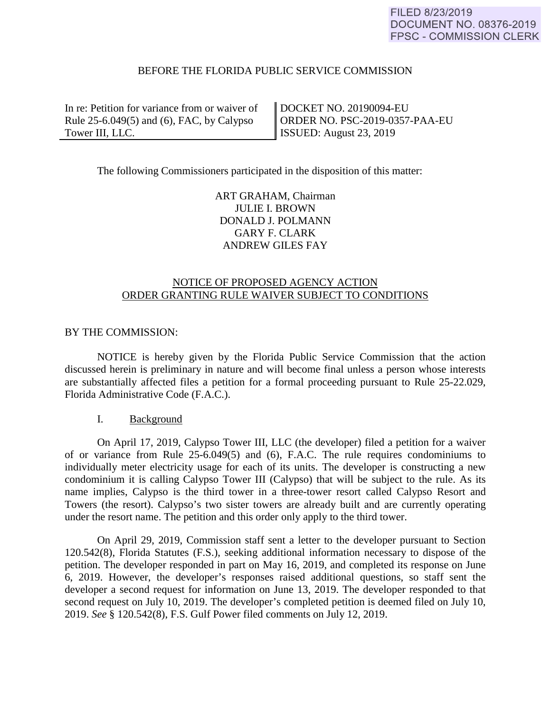# BEFORE THE FLORIDA PUBLIC SERVICE COMMISSION

In re: Petition for variance from or waiver of Rule 25-6.049(5) and (6), FAC, by Calypso Tower III, LLC.

DOCKET NO. 20190094-EU ORDER NO. PSC-2019-0357-PAA-EU ISSUED: August 23, 2019

The following Commissioners participated in the disposition of this matter:

ART GRAHAM, Chairman JULIE I. BROWN DONALD J. POLMANN GARY F. CLARK ANDREW GILES FAY

# NOTICE OF PROPOSED AGENCY ACTION ORDER GRANTING RULE WAIVER SUBJECT TO CONDITIONS

### BY THE COMMISSION:

 NOTICE is hereby given by the Florida Public Service Commission that the action discussed herein is preliminary in nature and will become final unless a person whose interests are substantially affected files a petition for a formal proceeding pursuant to Rule 25-22.029, Florida Administrative Code (F.A.C.).

### I. Background

On April 17, 2019, Calypso Tower III, LLC (the developer) filed a petition for a waiver of or variance from Rule 25-6.049(5) and (6), F.A.C. The rule requires condominiums to individually meter electricity usage for each of its units. The developer is constructing a new condominium it is calling Calypso Tower III (Calypso) that will be subject to the rule. As its name implies, Calypso is the third tower in a three-tower resort called Calypso Resort and Towers (the resort). Calypso's two sister towers are already built and are currently operating under the resort name. The petition and this order only apply to the third tower.

On April 29, 2019, Commission staff sent a letter to the developer pursuant to Section 120.542(8), Florida Statutes (F.S.), seeking additional information necessary to dispose of the petition. The developer responded in part on May 16, 2019, and completed its response on June 6, 2019. However, the developer's responses raised additional questions, so staff sent the developer a second request for information on June 13, 2019. The developer responded to that second request on July 10, 2019. The developer's completed petition is deemed filed on July 10, 2019. *See* § 120.542(8), F.S. Gulf Power filed comments on July 12, 2019.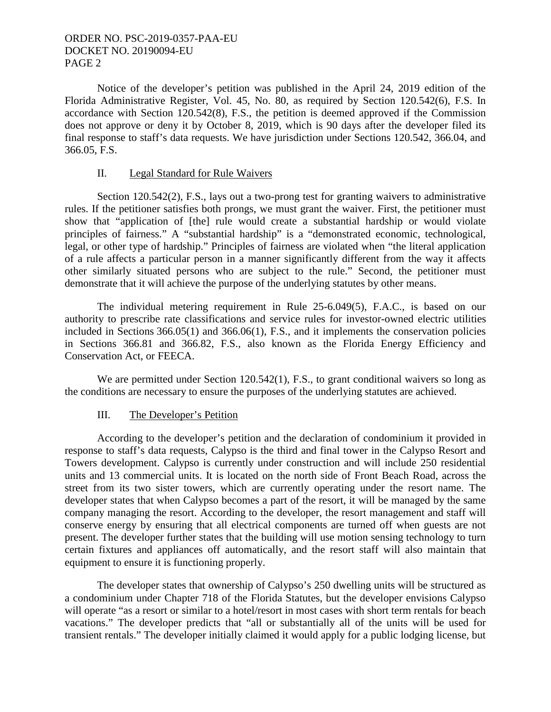Notice of the developer's petition was published in the April 24, 2019 edition of the Florida Administrative Register, Vol. 45, No. 80, as required by Section 120.542(6), F.S. In accordance with Section 120.542(8), F.S., the petition is deemed approved if the Commission does not approve or deny it by October 8, 2019, which is 90 days after the developer filed its final response to staff's data requests. We have jurisdiction under Sections 120.542, 366.04, and 366.05, F.S.

## II. Legal Standard for Rule Waivers

 Section 120.542(2), F.S., lays out a two-prong test for granting waivers to administrative rules. If the petitioner satisfies both prongs, we must grant the waiver. First, the petitioner must show that "application of [the] rule would create a substantial hardship or would violate principles of fairness." A "substantial hardship" is a "demonstrated economic, technological, legal, or other type of hardship." Principles of fairness are violated when "the literal application of a rule affects a particular person in a manner significantly different from the way it affects other similarly situated persons who are subject to the rule." Second, the petitioner must demonstrate that it will achieve the purpose of the underlying statutes by other means.

The individual metering requirement in Rule 25-6.049(5), F.A.C., is based on our authority to prescribe rate classifications and service rules for investor-owned electric utilities included in Sections 366.05(1) and 366.06(1), F.S., and it implements the conservation policies in Sections 366.81 and 366.82, F.S., also known as the Florida Energy Efficiency and Conservation Act, or FEECA.

We are permitted under Section 120.542(1), F.S., to grant conditional waivers so long as the conditions are necessary to ensure the purposes of the underlying statutes are achieved.

### III. The Developer's Petition

According to the developer's petition and the declaration of condominium it provided in response to staff's data requests, Calypso is the third and final tower in the Calypso Resort and Towers development. Calypso is currently under construction and will include 250 residential units and 13 commercial units. It is located on the north side of Front Beach Road, across the street from its two sister towers, which are currently operating under the resort name. The developer states that when Calypso becomes a part of the resort, it will be managed by the same company managing the resort. According to the developer, the resort management and staff will conserve energy by ensuring that all electrical components are turned off when guests are not present. The developer further states that the building will use motion sensing technology to turn certain fixtures and appliances off automatically, and the resort staff will also maintain that equipment to ensure it is functioning properly.

The developer states that ownership of Calypso's 250 dwelling units will be structured as a condominium under Chapter 718 of the Florida Statutes, but the developer envisions Calypso will operate "as a resort or similar to a hotel/resort in most cases with short term rentals for beach vacations." The developer predicts that "all or substantially all of the units will be used for transient rentals." The developer initially claimed it would apply for a public lodging license, but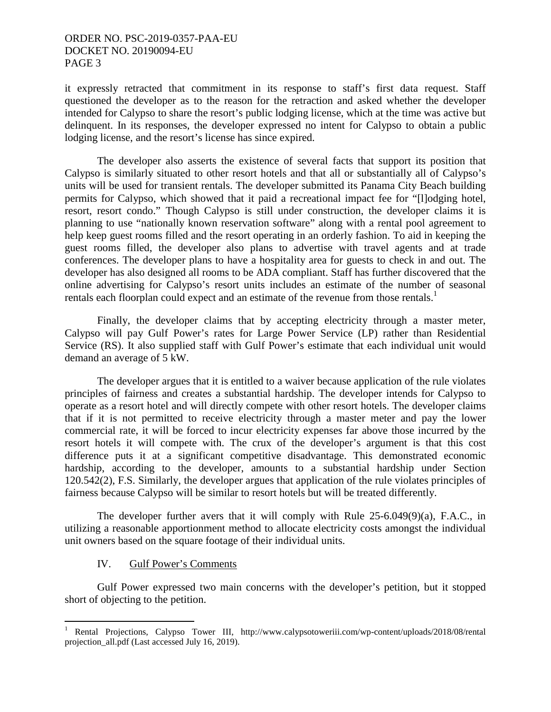it expressly retracted that commitment in its response to staff's first data request. Staff questioned the developer as to the reason for the retraction and asked whether the developer intended for Calypso to share the resort's public lodging license, which at the time was active but delinquent. In its responses, the developer expressed no intent for Calypso to obtain a public lodging license, and the resort's license has since expired.

The developer also asserts the existence of several facts that support its position that Calypso is similarly situated to other resort hotels and that all or substantially all of Calypso's units will be used for transient rentals. The developer submitted its Panama City Beach building permits for Calypso, which showed that it paid a recreational impact fee for "[l]odging hotel, resort, resort condo." Though Calypso is still under construction, the developer claims it is planning to use "nationally known reservation software" along with a rental pool agreement to help keep guest rooms filled and the resort operating in an orderly fashion. To aid in keeping the guest rooms filled, the developer also plans to advertise with travel agents and at trade conferences. The developer plans to have a hospitality area for guests to check in and out. The developer has also designed all rooms to be ADA compliant. Staff has further discovered that the online advertising for Calypso's resort units includes an estimate of the number of seasonal rentals each floorplan could expect and an estimate of the revenue from those rentals.<sup>1</sup>

Finally, the developer claims that by accepting electricity through a master meter, Calypso will pay Gulf Power's rates for Large Power Service (LP) rather than Residential Service (RS). It also supplied staff with Gulf Power's estimate that each individual unit would demand an average of 5 kW.

The developer argues that it is entitled to a waiver because application of the rule violates principles of fairness and creates a substantial hardship. The developer intends for Calypso to operate as a resort hotel and will directly compete with other resort hotels. The developer claims that if it is not permitted to receive electricity through a master meter and pay the lower commercial rate, it will be forced to incur electricity expenses far above those incurred by the resort hotels it will compete with. The crux of the developer's argument is that this cost difference puts it at a significant competitive disadvantage. This demonstrated economic hardship, according to the developer, amounts to a substantial hardship under Section 120.542(2), F.S. Similarly, the developer argues that application of the rule violates principles of fairness because Calypso will be similar to resort hotels but will be treated differently.

The developer further avers that it will comply with Rule 25-6.049(9)(a), F.A.C., in utilizing a reasonable apportionment method to allocate electricity costs amongst the individual unit owners based on the square footage of their individual units.

#### IV. Gulf Power's Comments

 $\overline{a}$ 

Gulf Power expressed two main concerns with the developer's petition, but it stopped short of objecting to the petition.

<sup>1</sup> Rental Projections, Calypso Tower III, http://www.calypsotoweriii.com/wp-content/uploads/2018/08/rental projection\_all.pdf (Last accessed July 16, 2019).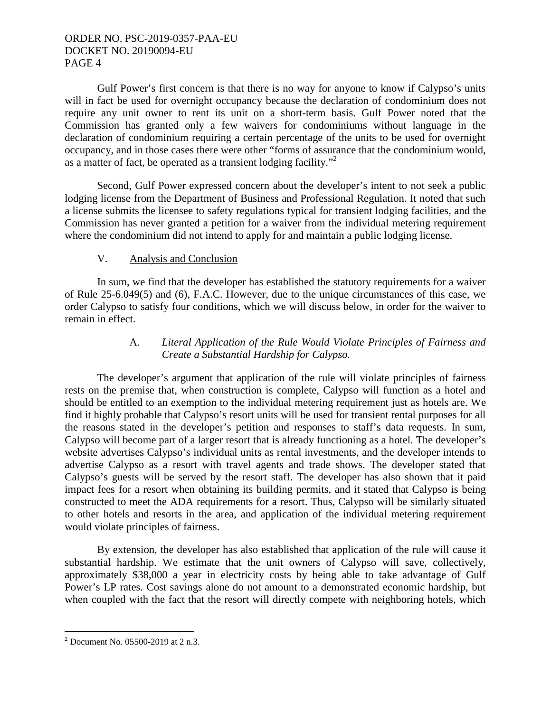Gulf Power's first concern is that there is no way for anyone to know if Calypso's units will in fact be used for overnight occupancy because the declaration of condominium does not require any unit owner to rent its unit on a short-term basis. Gulf Power noted that the Commission has granted only a few waivers for condominiums without language in the declaration of condominium requiring a certain percentage of the units to be used for overnight occupancy, and in those cases there were other "forms of assurance that the condominium would, as a matter of fact, be operated as a transient lodging facility."<sup>2</sup>

Second, Gulf Power expressed concern about the developer's intent to not seek a public lodging license from the Department of Business and Professional Regulation. It noted that such a license submits the licensee to safety regulations typical for transient lodging facilities, and the Commission has never granted a petition for a waiver from the individual metering requirement where the condominium did not intend to apply for and maintain a public lodging license.

# V. Analysis and Conclusion

In sum, we find that the developer has established the statutory requirements for a waiver of Rule 25-6.049(5) and (6), F.A.C. However, due to the unique circumstances of this case, we order Calypso to satisfy four conditions, which we will discuss below, in order for the waiver to remain in effect.

# A. *Literal Application of the Rule Would Violate Principles of Fairness and Create a Substantial Hardship for Calypso.*

The developer's argument that application of the rule will violate principles of fairness rests on the premise that, when construction is complete, Calypso will function as a hotel and should be entitled to an exemption to the individual metering requirement just as hotels are. We find it highly probable that Calypso's resort units will be used for transient rental purposes for all the reasons stated in the developer's petition and responses to staff's data requests. In sum, Calypso will become part of a larger resort that is already functioning as a hotel. The developer's website advertises Calypso's individual units as rental investments, and the developer intends to advertise Calypso as a resort with travel agents and trade shows. The developer stated that Calypso's guests will be served by the resort staff. The developer has also shown that it paid impact fees for a resort when obtaining its building permits, and it stated that Calypso is being constructed to meet the ADA requirements for a resort. Thus, Calypso will be similarly situated to other hotels and resorts in the area, and application of the individual metering requirement would violate principles of fairness.

By extension, the developer has also established that application of the rule will cause it substantial hardship. We estimate that the unit owners of Calypso will save, collectively, approximately \$38,000 a year in electricity costs by being able to take advantage of Gulf Power's LP rates. Cost savings alone do not amount to a demonstrated economic hardship, but when coupled with the fact that the resort will directly compete with neighboring hotels, which

 2 Document No. 05500-2019 at 2 n.3.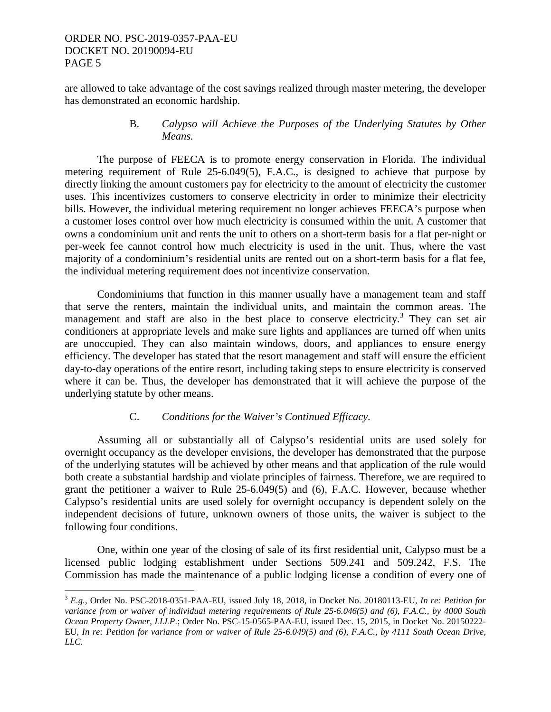$\overline{a}$ 

are allowed to take advantage of the cost savings realized through master metering, the developer has demonstrated an economic hardship.

### B. *Calypso will Achieve the Purposes of the Underlying Statutes by Other Means.*

The purpose of FEECA is to promote energy conservation in Florida. The individual metering requirement of Rule 25-6.049(5), F.A.C., is designed to achieve that purpose by directly linking the amount customers pay for electricity to the amount of electricity the customer uses. This incentivizes customers to conserve electricity in order to minimize their electricity bills. However, the individual metering requirement no longer achieves FEECA's purpose when a customer loses control over how much electricity is consumed within the unit. A customer that owns a condominium unit and rents the unit to others on a short-term basis for a flat per-night or per-week fee cannot control how much electricity is used in the unit. Thus, where the vast majority of a condominium's residential units are rented out on a short-term basis for a flat fee, the individual metering requirement does not incentivize conservation.

Condominiums that function in this manner usually have a management team and staff that serve the renters, maintain the individual units, and maintain the common areas. The management and staff are also in the best place to conserve electricity.<sup>3</sup> They can set air conditioners at appropriate levels and make sure lights and appliances are turned off when units are unoccupied. They can also maintain windows, doors, and appliances to ensure energy efficiency. The developer has stated that the resort management and staff will ensure the efficient day-to-day operations of the entire resort, including taking steps to ensure electricity is conserved where it can be. Thus, the developer has demonstrated that it will achieve the purpose of the underlying statute by other means.

### C. *Conditions for the Waiver's Continued Efficacy.*

Assuming all or substantially all of Calypso's residential units are used solely for overnight occupancy as the developer envisions, the developer has demonstrated that the purpose of the underlying statutes will be achieved by other means and that application of the rule would both create a substantial hardship and violate principles of fairness. Therefore, we are required to grant the petitioner a waiver to Rule 25-6.049(5) and (6), F.A.C. However, because whether Calypso's residential units are used solely for overnight occupancy is dependent solely on the independent decisions of future, unknown owners of those units, the waiver is subject to the following four conditions.

One, within one year of the closing of sale of its first residential unit, Calypso must be a licensed public lodging establishment under Sections 509.241 and 509.242, F.S. The Commission has made the maintenance of a public lodging license a condition of every one of

<sup>3</sup> *E.g.*, Order No. PSC-2018-0351-PAA-EU, issued July 18, 2018, in Docket No. 20180113-EU, *In re: Petition for variance from or waiver of individual metering requirements of Rule 25-6.046(5) and (6), F.A.C., by 4000 South Ocean Property Owner, LLLP.*; Order No. PSC-15-0565-PAA-EU, issued Dec. 15, 2015, in Docket No. 20150222- EU, *In re: Petition for variance from or waiver of Rule 25-6.049(5) and (6), F.A.C., by 4111 South Ocean Drive, LLC.*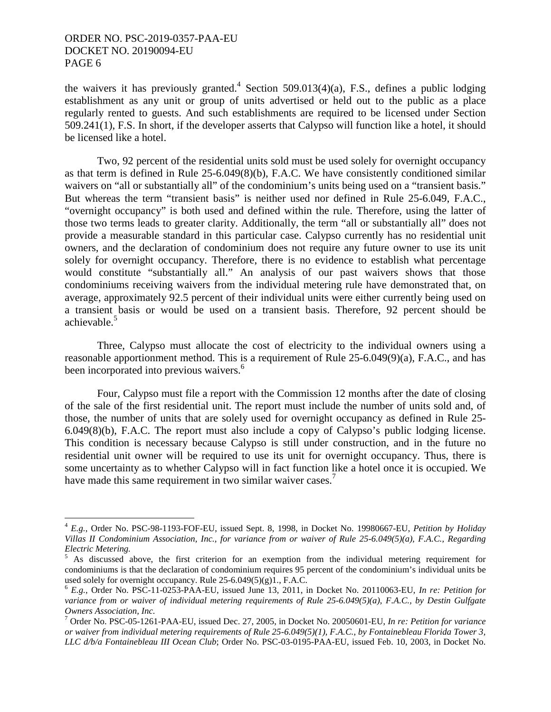<u>.</u>

the waivers it has previously granted.<sup>4</sup> Section 509.013(4)(a), F.S., defines a public lodging establishment as any unit or group of units advertised or held out to the public as a place regularly rented to guests. And such establishments are required to be licensed under Section 509.241(1), F.S. In short, if the developer asserts that Calypso will function like a hotel, it should be licensed like a hotel.

Two, 92 percent of the residential units sold must be used solely for overnight occupancy as that term is defined in Rule 25-6.049(8)(b), F.A.C. We have consistently conditioned similar waivers on "all or substantially all" of the condominium's units being used on a "transient basis." But whereas the term "transient basis" is neither used nor defined in Rule 25-6.049, F.A.C., "overnight occupancy" is both used and defined within the rule. Therefore, using the latter of those two terms leads to greater clarity. Additionally, the term "all or substantially all" does not provide a measurable standard in this particular case. Calypso currently has no residential unit owners, and the declaration of condominium does not require any future owner to use its unit solely for overnight occupancy. Therefore, there is no evidence to establish what percentage would constitute "substantially all." An analysis of our past waivers shows that those condominiums receiving waivers from the individual metering rule have demonstrated that, on average, approximately 92.5 percent of their individual units were either currently being used on a transient basis or would be used on a transient basis. Therefore, 92 percent should be achievable.<sup>5</sup>

Three, Calypso must allocate the cost of electricity to the individual owners using a reasonable apportionment method. This is a requirement of Rule 25-6.049(9)(a), F.A.C., and has been incorporated into previous waivers.<sup>6</sup>

Four, Calypso must file a report with the Commission 12 months after the date of closing of the sale of the first residential unit. The report must include the number of units sold and, of those, the number of units that are solely used for overnight occupancy as defined in Rule 25- 6.049(8)(b), F.A.C. The report must also include a copy of Calypso's public lodging license. This condition is necessary because Calypso is still under construction, and in the future no residential unit owner will be required to use its unit for overnight occupancy. Thus, there is some uncertainty as to whether Calypso will in fact function like a hotel once it is occupied. We have made this same requirement in two similar waiver cases.<sup>7</sup>

<sup>4</sup> *E.g.*, Order No. PSC-98-1193-FOF-EU, issued Sept. 8, 1998, in Docket No. 19980667-EU, *Petition by Holiday Villas II Condominium Association, Inc., for variance from or waiver of Rule 25-6.049(5)(a), F.A.C., Regarding Electric Metering.* 

<sup>5</sup> As discussed above, the first criterion for an exemption from the individual metering requirement for condominiums is that the declaration of condominium requires 95 percent of the condominium's individual units be used solely for overnight occupancy. Rule 25-6.049(5)(g)1., F.A.C.

<sup>6</sup> *E.g.*, Order No. PSC-11-0253-PAA-EU, issued June 13, 2011, in Docket No. 20110063-EU, *In re: Petition for variance from or waiver of individual metering requirements of Rule 25-6.049(5)(a), F.A.C., by Destin Gulfgate Owners Association, Inc.* 

<sup>7</sup> Order No. PSC-05-1261-PAA-EU, issued Dec. 27, 2005, in Docket No. 20050601-EU, *In re: Petition for variance or waiver from individual metering requirements of Rule 25-6.049(5)(1), F.A.C., by Fontainebleau Florida Tower 3, LLC d/b/a Fontainebleau III Ocean Club*; Order No. PSC-03-0195-PAA-EU, issued Feb. 10, 2003, in Docket No.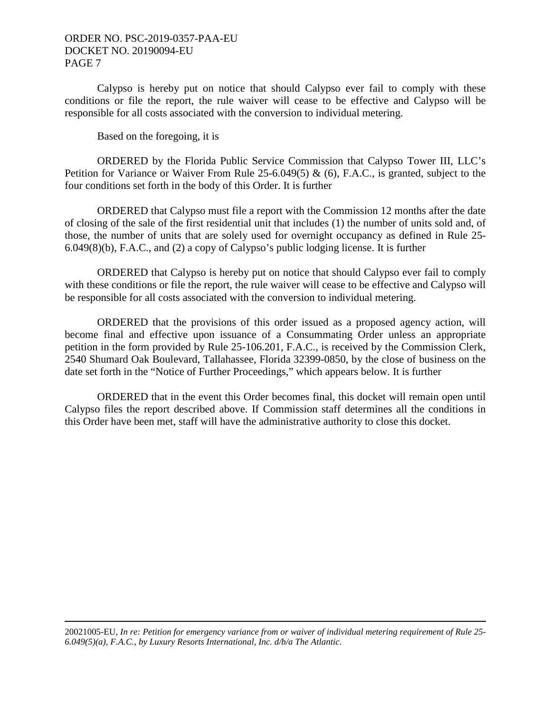Calypso is hereby put on notice that should Calypso ever fail to comply with these conditions or file the report, the rule waiver will cease to be effective and Calypso will be responsible for all costs associated with the conversion to individual metering.

Based on the foregoing, it is

 ORDERED by the Florida Public Service Commission that Calypso Tower III, LLC's Petition for Variance or Waiver From Rule 25-6.049(5) & (6), F.A.C., is granted, subject to the four conditions set forth in the body of this Order. It is further

 ORDERED that Calypso must file a report with the Commission 12 months after the date of closing of the sale of the first residential unit that includes (1) the number of units sold and, of those, the number of units that are solely used for overnight occupancy as defined in Rule 25- 6.049(8)(b), F.A.C., and (2) a copy of Calypso's public lodging license. It is further

 ORDERED that Calypso is hereby put on notice that should Calypso ever fail to comply with these conditions or file the report, the rule waiver will cease to be effective and Calypso will be responsible for all costs associated with the conversion to individual metering.

 ORDERED that the provisions of this order issued as a proposed agency action, will become final and effective upon issuance of a Consummating Order unless an appropriate petition in the form provided by Rule 25-106.201, F.A.C., is received by the Commission Clerk, 2540 Shumard Oak Boulevard, Tallahassee, Florida 32399-0850, by the close of business on the date set forth in the "Notice of Further Proceedings," which appears below. It is further

 ORDERED that in the event this Order becomes final, this docket will remain open until Calypso files the report described above. If Commission staff determines all the conditions in this Order have been met, staff will have the administrative authority to close this docket.